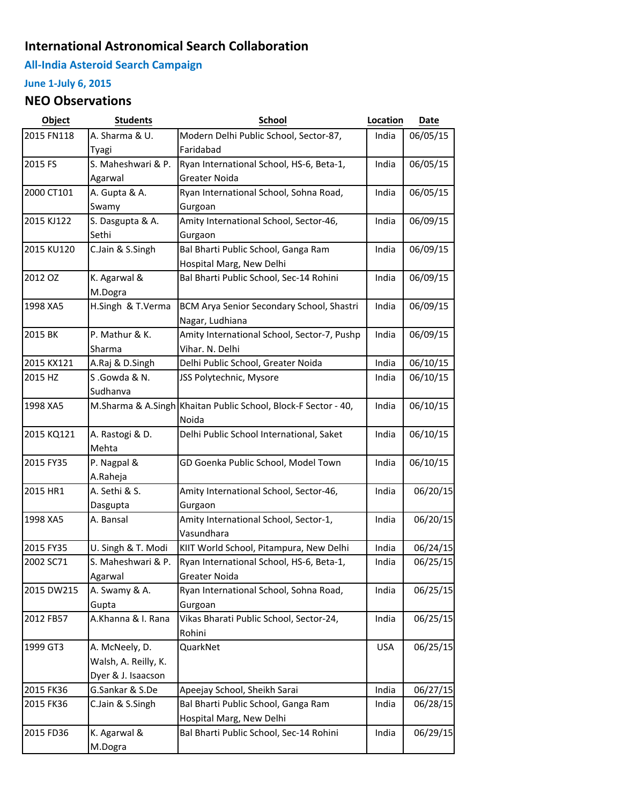## **International Astronomical Search Collaboration**

**All-India Asteroid Search Campaign**

## **June 1-July 6, 2015**

## **NEO Observations**

| Object     | <b>Students</b>      | <b>School</b>                                                  | Location   | Date     |
|------------|----------------------|----------------------------------------------------------------|------------|----------|
| 2015 FN118 | A. Sharma & U.       | Modern Delhi Public School, Sector-87,                         | India      | 06/05/15 |
|            | Tyagi                | Faridabad                                                      |            |          |
| 2015 FS    | S. Maheshwari & P.   | Ryan International School, HS-6, Beta-1,                       | India      | 06/05/15 |
|            | Agarwal              | Greater Noida                                                  |            |          |
| 2000 CT101 | A. Gupta & A.        | Ryan International School, Sohna Road,                         | India      | 06/05/15 |
|            | Swamy                | Gurgoan                                                        |            |          |
| 2015 KJ122 | S. Dasgupta & A.     | Amity International School, Sector-46,                         | India      | 06/09/15 |
|            | Sethi                | Gurgaon                                                        |            |          |
| 2015 KU120 | C.Jain & S.Singh     | Bal Bharti Public School, Ganga Ram                            | India      | 06/09/15 |
|            |                      | Hospital Marg, New Delhi                                       |            |          |
| 2012 OZ    | K. Agarwal &         | Bal Bharti Public School, Sec-14 Rohini                        | India      | 06/09/15 |
|            | M.Dogra              |                                                                |            |          |
| 1998 XA5   | H.Singh & T.Verma    | BCM Arya Senior Secondary School, Shastri                      | India      | 06/09/15 |
|            |                      | Nagar, Ludhiana                                                |            |          |
| 2015 BK    | P. Mathur & K.       | Amity International School, Sector-7, Pushp                    | India      | 06/09/15 |
|            | Sharma               | Vihar. N. Delhi                                                |            |          |
| 2015 KX121 | A.Raj & D.Singh      | Delhi Public School, Greater Noida                             | India      | 06/10/15 |
| 2015 HZ    | S.Gowda & N.         | JSS Polytechnic, Mysore                                        | India      | 06/10/15 |
|            | Sudhanva             |                                                                |            |          |
| 1998 XA5   |                      | M.Sharma & A.Singh Khaitan Public School, Block-F Sector - 40, | India      | 06/10/15 |
|            |                      | Noida                                                          |            |          |
| 2015 KQ121 | A. Rastogi & D.      | Delhi Public School International, Saket                       | India      | 06/10/15 |
|            | Mehta                |                                                                |            |          |
| 2015 FY35  | P. Nagpal &          | GD Goenka Public School, Model Town                            | India      | 06/10/15 |
|            | A.Raheja             |                                                                |            |          |
| 2015 HR1   | A. Sethi & S.        | Amity International School, Sector-46,                         | India      | 06/20/15 |
|            | Dasgupta             | Gurgaon                                                        |            |          |
| 1998 XA5   | A. Bansal            | Amity International School, Sector-1,                          | India      | 06/20/15 |
|            |                      | Vasundhara                                                     |            |          |
| 2015 FY35  | U. Singh & T. Modi   | KIIT World School, Pitampura, New Delhi                        | India      | 06/24/15 |
| 2002 SC71  | S. Maheshwari & P.   | Ryan International School, HS-6, Beta-1,                       | India      | 06/25/15 |
|            | Agarwal              | Greater Noida                                                  |            |          |
| 2015 DW215 | A. Swamy & A.        | Ryan International School, Sohna Road,                         | India      | 06/25/15 |
|            | Gupta                | Gurgoan                                                        |            |          |
| 2012 FB57  | A.Khanna & I. Rana   | Vikas Bharati Public School, Sector-24,                        | India      | 06/25/15 |
|            |                      | Rohini                                                         |            |          |
| 1999 GT3   | A. McNeely, D.       | QuarkNet                                                       | <b>USA</b> | 06/25/15 |
|            | Walsh, A. Reilly, K. |                                                                |            |          |
|            | Dyer & J. Isaacson   |                                                                |            |          |
| 2015 FK36  | G.Sankar & S.De      | Apeejay School, Sheikh Sarai                                   | India      | 06/27/15 |
| 2015 FK36  | C.Jain & S.Singh     | Bal Bharti Public School, Ganga Ram                            | India      | 06/28/15 |
|            |                      | Hospital Marg, New Delhi                                       |            |          |
| 2015 FD36  | K. Agarwal &         | Bal Bharti Public School, Sec-14 Rohini                        | India      | 06/29/15 |
|            | M.Dogra              |                                                                |            |          |